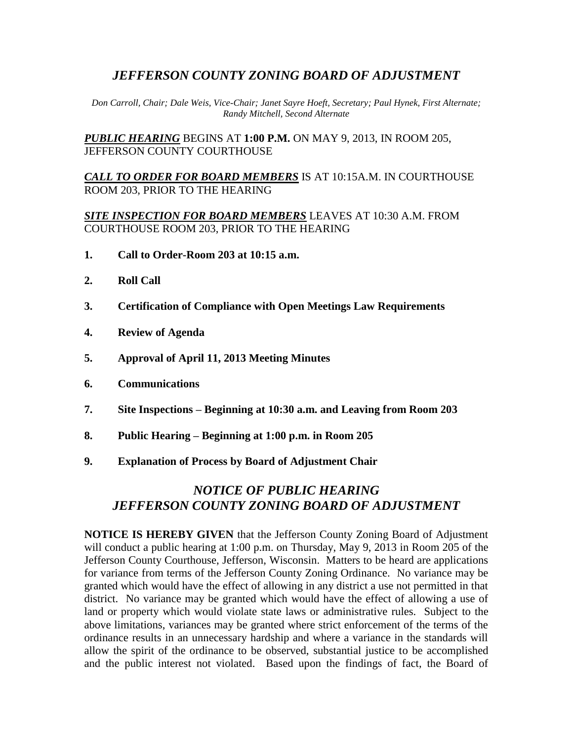## *JEFFERSON COUNTY ZONING BOARD OF ADJUSTMENT*

*Don Carroll, Chair; Dale Weis, Vice-Chair; Janet Sayre Hoeft, Secretary; Paul Hynek, First Alternate; Randy Mitchell, Second Alternate*

*PUBLIC HEARING* BEGINS AT **1:00 P.M.** ON MAY 9, 2013, IN ROOM 205, JEFFERSON COUNTY COURTHOUSE

*CALL TO ORDER FOR BOARD MEMBERS* IS AT 10:15A.M. IN COURTHOUSE ROOM 203, PRIOR TO THE HEARING

*SITE INSPECTION FOR BOARD MEMBERS* LEAVES AT 10:30 A.M. FROM COURTHOUSE ROOM 203, PRIOR TO THE HEARING

- **1. Call to Order-Room 203 at 10:15 a.m.**
- **2. Roll Call**
- **3. Certification of Compliance with Open Meetings Law Requirements**
- **4. Review of Agenda**
- **5. Approval of April 11, 2013 Meeting Minutes**
- **6. Communications**
- **7. Site Inspections – Beginning at 10:30 a.m. and Leaving from Room 203**
- **8. Public Hearing – Beginning at 1:00 p.m. in Room 205**
- **9. Explanation of Process by Board of Adjustment Chair**

## *NOTICE OF PUBLIC HEARING JEFFERSON COUNTY ZONING BOARD OF ADJUSTMENT*

**NOTICE IS HEREBY GIVEN** that the Jefferson County Zoning Board of Adjustment will conduct a public hearing at 1:00 p.m. on Thursday, May 9, 2013 in Room 205 of the Jefferson County Courthouse, Jefferson, Wisconsin. Matters to be heard are applications for variance from terms of the Jefferson County Zoning Ordinance. No variance may be granted which would have the effect of allowing in any district a use not permitted in that district. No variance may be granted which would have the effect of allowing a use of land or property which would violate state laws or administrative rules. Subject to the above limitations, variances may be granted where strict enforcement of the terms of the ordinance results in an unnecessary hardship and where a variance in the standards will allow the spirit of the ordinance to be observed, substantial justice to be accomplished and the public interest not violated. Based upon the findings of fact, the Board of